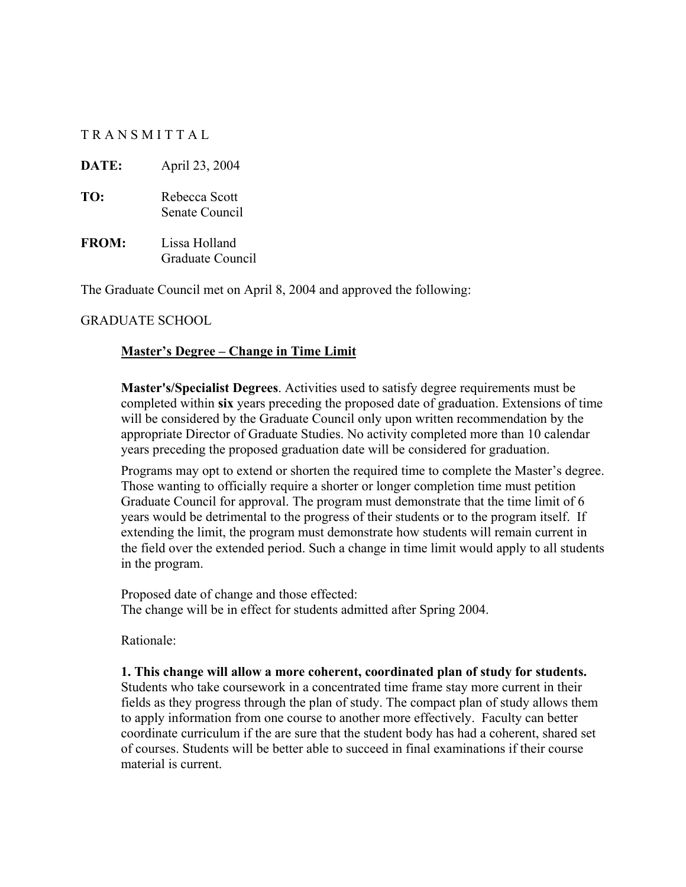#### T R A N S M I T T A L

**DATE:** April 23, 2004

- **TO:** Rebecca Scott Senate Council
- **FROM:** Lissa Holland Graduate Council

The Graduate Council met on April 8, 2004 and approved the following:

#### GRADUATE SCHOOL

#### **Master's Degree – Change in Time Limit**

**Master's/Specialist Degrees**. Activities used to satisfy degree requirements must be completed within **six** years preceding the proposed date of graduation. Extensions of time will be considered by the Graduate Council only upon written recommendation by the appropriate Director of Graduate Studies. No activity completed more than 10 calendar years preceding the proposed graduation date will be considered for graduation.

Programs may opt to extend or shorten the required time to complete the Master's degree. Those wanting to officially require a shorter or longer completion time must petition Graduate Council for approval. The program must demonstrate that the time limit of 6 years would be detrimental to the progress of their students or to the program itself. If extending the limit, the program must demonstrate how students will remain current in the field over the extended period. Such a change in time limit would apply to all students in the program.

Proposed date of change and those effected: The change will be in effect for students admitted after Spring 2004.

Rationale:

**1. This change will allow a more coherent, coordinated plan of study for students.**  Students who take coursework in a concentrated time frame stay more current in their fields as they progress through the plan of study. The compact plan of study allows them to apply information from one course to another more effectively. Faculty can better coordinate curriculum if the are sure that the student body has had a coherent, shared set of courses. Students will be better able to succeed in final examinations if their course material is current.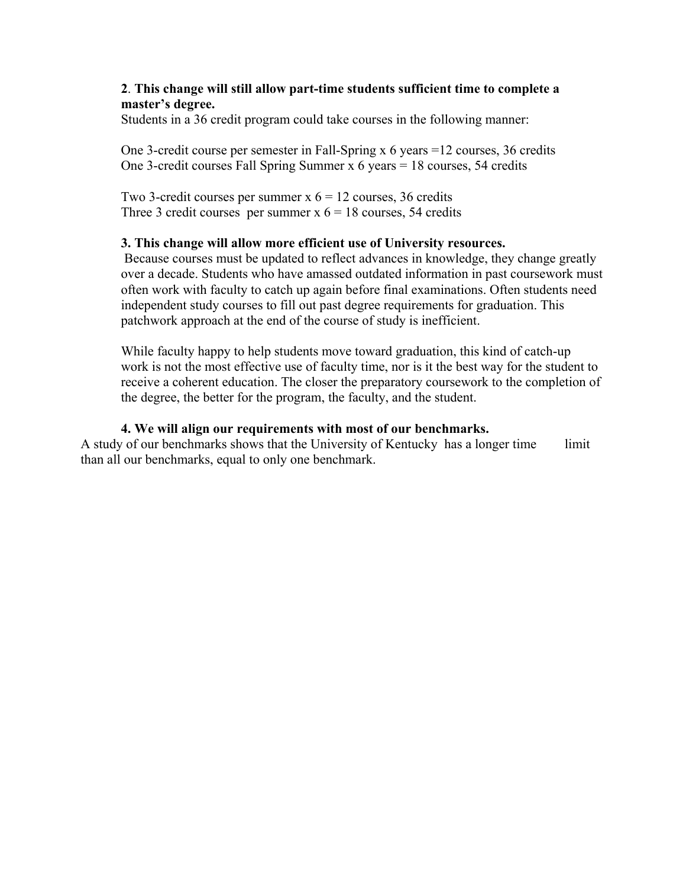#### **2**. **This change will still allow part-time students sufficient time to complete a master's degree.**

Students in a 36 credit program could take courses in the following manner:

One 3-credit course per semester in Fall-Spring x 6 years =12 courses, 36 credits One 3-credit courses Fall Spring Summer x 6 years = 18 courses, 54 credits

Two 3-credit courses per summer  $x$   $6 = 12$  courses, 36 credits Three 3 credit courses per summer  $x$   $6 = 18$  courses, 54 credits

#### **3. This change will allow more efficient use of University resources.**

Because courses must be updated to reflect advances in knowledge, they change greatly over a decade. Students who have amassed outdated information in past coursework must often work with faculty to catch up again before final examinations. Often students need independent study courses to fill out past degree requirements for graduation. This patchwork approach at the end of the course of study is inefficient.

While faculty happy to help students move toward graduation, this kind of catch-up work is not the most effective use of faculty time, nor is it the best way for the student to receive a coherent education. The closer the preparatory coursework to the completion of the degree, the better for the program, the faculty, and the student.

#### **4. We will align our requirements with most of our benchmarks.**

A study of our benchmarks shows that the University of Kentucky has a longer time limit than all our benchmarks, equal to only one benchmark.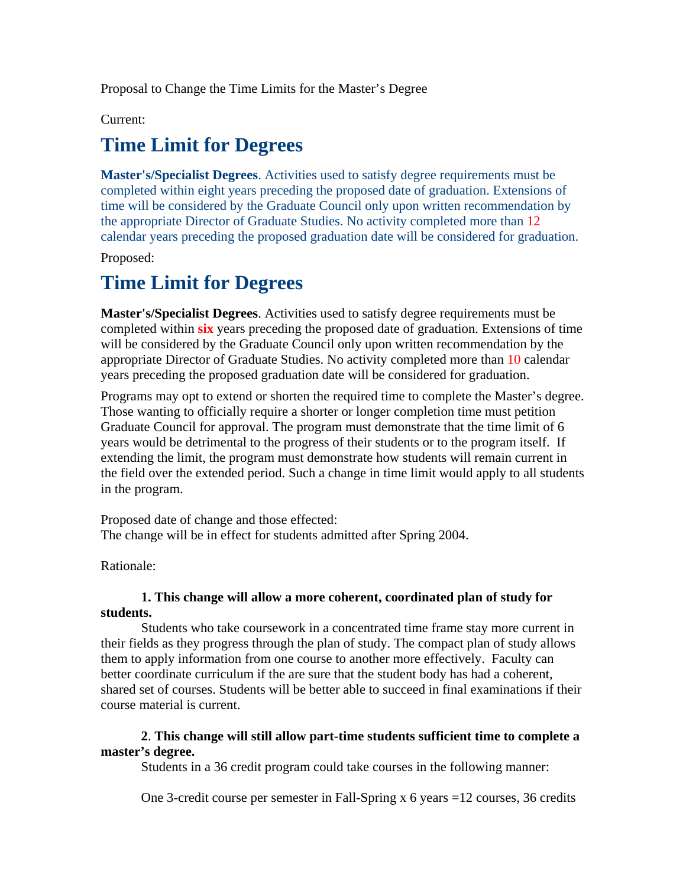Proposal to Change the Time Limits for the Master's Degree

Current:

# **Time Limit for Degrees**

**Master's/Specialist Degrees**. Activities used to satisfy degree requirements must be completed within eight years preceding the proposed date of graduation. Extensions of time will be considered by the Graduate Council only upon written recommendation by the appropriate Director of Graduate Studies. No activity completed more than 12 calendar years preceding the proposed graduation date will be considered for graduation.

Proposed:

# **Time Limit for Degrees**

**Master's/Specialist Degrees**. Activities used to satisfy degree requirements must be completed within **six** years preceding the proposed date of graduation. Extensions of time will be considered by the Graduate Council only upon written recommendation by the appropriate Director of Graduate Studies. No activity completed more than 10 calendar years preceding the proposed graduation date will be considered for graduation.

Programs may opt to extend or shorten the required time to complete the Master's degree. Those wanting to officially require a shorter or longer completion time must petition Graduate Council for approval. The program must demonstrate that the time limit of 6 years would be detrimental to the progress of their students or to the program itself. If extending the limit, the program must demonstrate how students will remain current in the field over the extended period. Such a change in time limit would apply to all students in the program.

Proposed date of change and those effected: The change will be in effect for students admitted after Spring 2004.

Rationale:

### **1. This change will allow a more coherent, coordinated plan of study for students.**

Students who take coursework in a concentrated time frame stay more current in their fields as they progress through the plan of study. The compact plan of study allows them to apply information from one course to another more effectively. Faculty can better coordinate curriculum if the are sure that the student body has had a coherent, shared set of courses. Students will be better able to succeed in final examinations if their course material is current.

### **2**. **This change will still allow part-time students sufficient time to complete a master's degree.**

Students in a 36 credit program could take courses in the following manner:

One 3-credit course per semester in Fall-Spring x 6 years =12 courses, 36 credits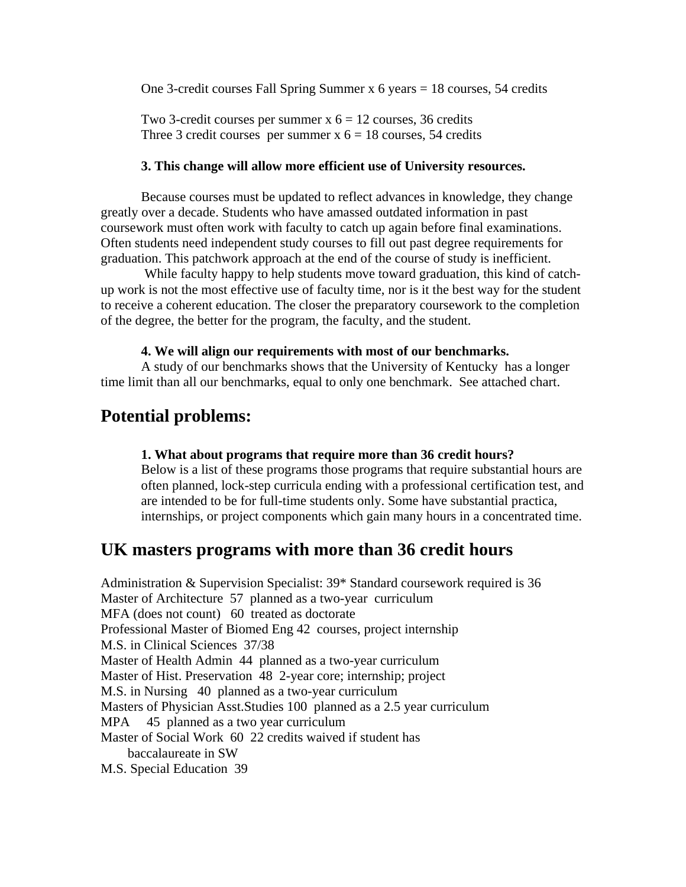One 3-credit courses Fall Spring Summer x 6 years = 18 courses, 54 credits

Two 3-credit courses per summer  $x$   $6 = 12$  courses, 36 credits Three 3 credit courses per summer  $x$   $6 = 18$  courses, 54 credits

#### **3. This change will allow more efficient use of University resources.**

Because courses must be updated to reflect advances in knowledge, they change greatly over a decade. Students who have amassed outdated information in past coursework must often work with faculty to catch up again before final examinations. Often students need independent study courses to fill out past degree requirements for graduation. This patchwork approach at the end of the course of study is inefficient.

 While faculty happy to help students move toward graduation, this kind of catchup work is not the most effective use of faculty time, nor is it the best way for the student to receive a coherent education. The closer the preparatory coursework to the completion of the degree, the better for the program, the faculty, and the student.

#### **4. We will align our requirements with most of our benchmarks.**

A study of our benchmarks shows that the University of Kentucky has a longer time limit than all our benchmarks, equal to only one benchmark. See attached chart.

## **Potential problems:**

#### **1. What about programs that require more than 36 credit hours?**

Below is a list of these programs those programs that require substantial hours are often planned, lock-step curricula ending with a professional certification test, and are intended to be for full-time students only. Some have substantial practica, internships, or project components which gain many hours in a concentrated time.

# **UK masters programs with more than 36 credit hours**

Administration & Supervision Specialist: 39\* Standard coursework required is 36 Master of Architecture 57 planned as a two-year curriculum MFA (does not count) 60 treated as doctorate Professional Master of Biomed Eng 42 courses, project internship M.S. in Clinical Sciences 37/38 Master of Health Admin 44 planned as a two-year curriculum Master of Hist. Preservation 48 2-year core; internship; project M.S. in Nursing 40 planned as a two-year curriculum Masters of Physician Asst.Studies 100 planned as a 2.5 year curriculum MPA 45 planned as a two year curriculum Master of Social Work 60 22 credits waived if student has baccalaureate in SW M.S. Special Education 39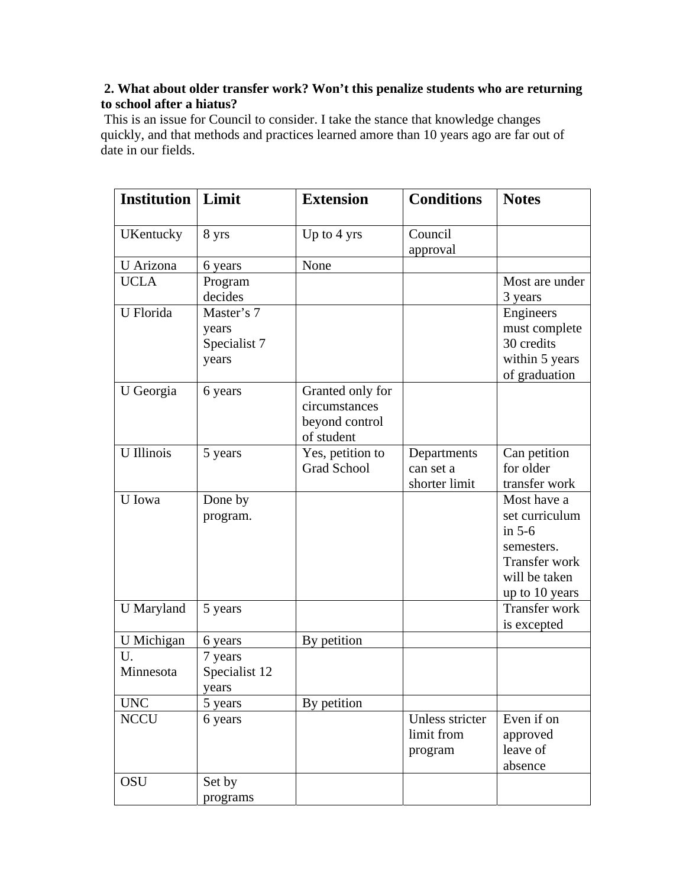## **2. What about older transfer work? Won't this penalize students who are returning to school after a hiatus?**

 This is an issue for Council to consider. I take the stance that knowledge changes quickly, and that methods and practices learned amore than 10 years ago are far out of date in our fields.

| <b>Institution</b> | Limit                                        | <b>Extension</b>                                                  | <b>Conditions</b>                         | <b>Notes</b>                                                                                                |
|--------------------|----------------------------------------------|-------------------------------------------------------------------|-------------------------------------------|-------------------------------------------------------------------------------------------------------------|
| <b>UKentucky</b>   | 8 yrs                                        | Up to $4 \text{ yrs}$                                             | Council<br>approval                       |                                                                                                             |
| U Arizona          | 6 years                                      | None                                                              |                                           |                                                                                                             |
| <b>UCLA</b>        | Program<br>decides                           |                                                                   |                                           | Most are under<br>3 years                                                                                   |
| U Florida          | Master's 7<br>years<br>Specialist 7<br>years |                                                                   |                                           | Engineers<br>must complete<br>30 credits<br>within 5 years<br>of graduation                                 |
| U Georgia          | 6 years                                      | Granted only for<br>circumstances<br>beyond control<br>of student |                                           |                                                                                                             |
| <b>U</b> Illinois  | 5 years                                      | Yes, petition to<br><b>Grad School</b>                            | Departments<br>can set a<br>shorter limit | Can petition<br>for older<br>transfer work                                                                  |
| U Iowa             | Done by<br>program.                          |                                                                   |                                           | Most have a<br>set curriculum<br>in $5-6$<br>semesters.<br>Transfer work<br>will be taken<br>up to 10 years |
| U Maryland         | 5 years                                      |                                                                   |                                           | <b>Transfer work</b><br>is excepted                                                                         |
| U Michigan         | 6 years                                      | By petition                                                       |                                           |                                                                                                             |
| U.<br>Minnesota    | 7 years<br>Specialist 12<br>vears            |                                                                   |                                           |                                                                                                             |
| <b>UNC</b>         | 5 years                                      | By petition                                                       |                                           |                                                                                                             |
| <b>NCCU</b>        | 6 years                                      |                                                                   | Unless stricter<br>limit from<br>program  | Even if on<br>approved<br>leave of<br>absence                                                               |
| OSU                | Set by<br>programs                           |                                                                   |                                           |                                                                                                             |